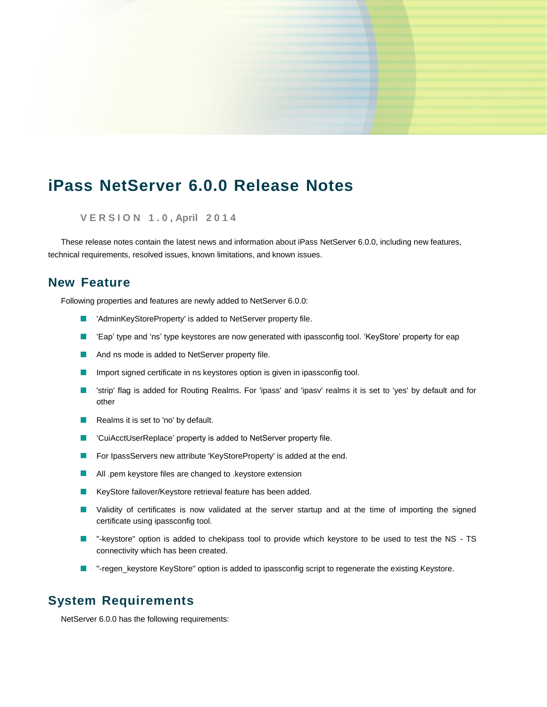# **iPass NetServer 6.0.0 Release Notes**

**V E R S I O N 1 . 0 , April 2 0 1 4**

These release notes contain the latest news and information about iPass NetServer 6.0.0, including new features, technical requirements, resolved issues, known limitations, and known issues.

### **New Feature**

Following properties and features are newly added to NetServer 6.0.0:

- 'AdminKeyStoreProperty' is added to NetServer property file.
- $\mathcal{C}$ 'Eap' type and 'ns' type keystores are now generated with ipassconfig tool. 'KeyStore' property for eap
- And ns mode is added to NetServer property file.
- Import signed certificate in ns keystores option is given in ipassconfig tool. m.
- $\mathcal{C}$ 'strip' flag is added for Routing Realms. For 'ipass' and 'ipasv' realms it is set to 'yes' by default and for other
- Realms it is set to 'no' by default.
- 'CuiAcctUserReplace' property is added to NetServer property file.  $\mathcal{C}^{\mathcal{A}}$
- $\mathcal{C}$ For IpassServers new attribute 'KeyStoreProperty' is added at the end.
- П All .pem keystore files are changed to .keystore extension
- m. KeyStore failover/Keystore retrieval feature has been added.
- **U** Validity of certificates is now validated at the server startup and at the time of importing the signed certificate using ipassconfig tool.
- "-keystore" option is added to chekipass tool to provide which keystore to be used to test the NS TS connectivity which has been created.
- "-regen\_keystore KeyStore" option is added to ipassconfig script to regenerate the existing Keystore. **The State**

# **System Requirements**

NetServer 6.0.0 has the following requirements: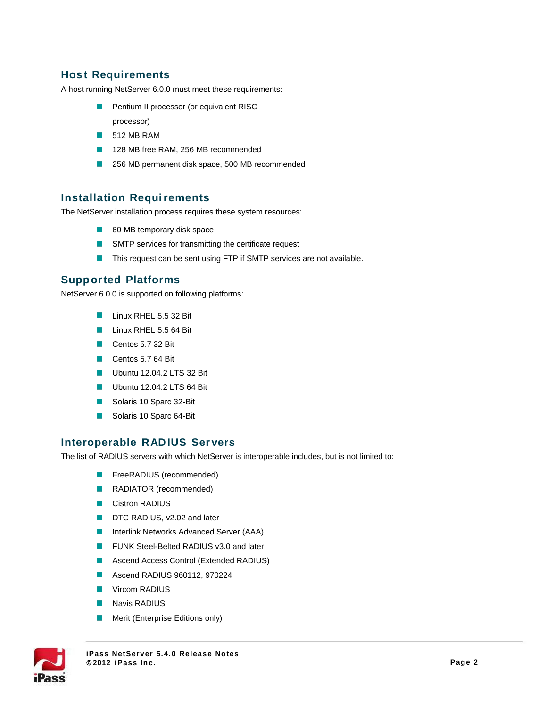### **Hos t Requirements**

A host running NetServer 6.0.0 must meet these requirements:

- **Pentium II processor (or equivalent RISC** processor)
- **512 MB RAM**
- 128 MB free RAM, 256 MB recommended
- 256 MB permanent disk space, 500 MB recommended

#### **Installation Requirements**

The NetServer installation process requires these system resources:

- 60 MB temporary disk space
- **NO** SMTP services for transmitting the certificate request
- This request can be sent using FTP if SMTP services are not available.

#### **Supported Platforms**

NetServer 6.0.0 is supported on following platforms:

- **Linux RHEL 5.5 32 Bit**
- Linux RHEL 5.5 64 Bit
- Centos 5.7 32 Bit
- Centos 5.7 64 Bit
- Ubuntu 12.04.2 LTS 32 Bit
- Ubuntu 12.04.2 LTS 64 Bit
- Solaris 10 Sparc 32-Bit
- Solaris 10 Sparc 64-Bit

#### **Interoperable RADIUS Ser vers**

The list of RADIUS servers with which NetServer is interoperable includes, but is not limited to:

- **FreeRADIUS** (recommended)
- RADIATOR (recommended)
- **Cistron RADIUS**
- DTC RADIUS, v2.02 and later
- **Interlink Networks Advanced Server (AAA)**
- **FUNK Steel-Belted RADIUS v3.0 and later**
- **Ascend Access Control (Extended RADIUS)**
- **Ascend RADIUS 960112, 970224**
- **Vircom RADIUS**
- **Navis RADIUS**
- Merit (Enterprise Editions only) $\mathcal{L}_{\mathcal{A}}$



**iPass NetServer 5.4. 0 Release Notes 2012 iPass Inc. Page 2**